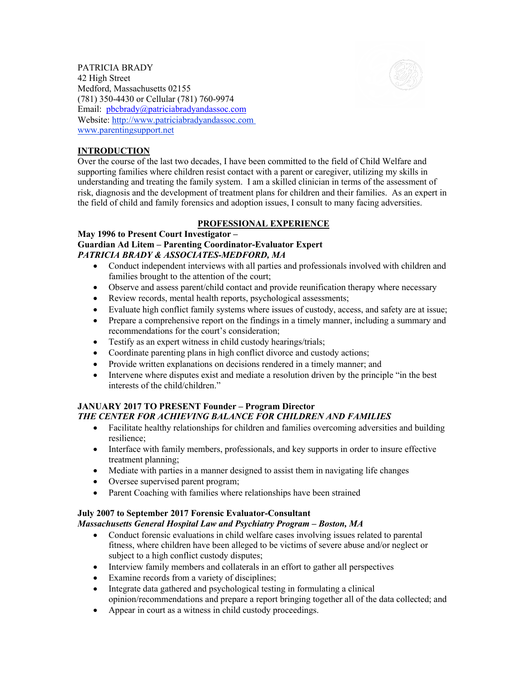

PATRICIA BRADY 42 High Street Medford, Massachusetts 02155 (781) 350-4430 or Cellular (781) 760-9974 Email: pbcbrady@patriciabradyandassoc.com Website: http://www.patriciabradyandassoc.com www.parentingsupport.net

#### **INTRODUCTION**

Over the course of the last two decades, I have been committed to the field of Child Welfare and supporting families where children resist contact with a parent or caregiver, utilizing my skills in understanding and treating the family system. I am a skilled clinician in terms of the assessment of risk, diagnosis and the development of treatment plans for children and their families. As an expert in the field of child and family forensics and adoption issues, I consult to many facing adversities.

#### **PROFESSIONAL EXPERIENCE**

#### **May 1996 to Present Court Investigator – Guardian Ad Litem – Parenting Coordinator-Evaluator Expert** *PATRICIA BRADY & ASSOCIATES-MEDFORD, MA*

- Conduct independent interviews with all parties and professionals involved with children and families brought to the attention of the court;
- Observe and assess parent/child contact and provide reunification therapy where necessary
- Review records, mental health reports, psychological assessments;
- Evaluate high conflict family systems where issues of custody, access, and safety are at issue;
- Prepare a comprehensive report on the findings in a timely manner, including a summary and recommendations for the court's consideration;
- Testify as an expert witness in child custody hearings/trials;
- Coordinate parenting plans in high conflict divorce and custody actions;
- Provide written explanations on decisions rendered in a timely manner; and
- Intervene where disputes exist and mediate a resolution driven by the principle "in the best" interests of the child/children."

#### **JANUARY 2017 TO PRESENT Founder – Program Director** *THE CENTER FOR ACHIEVING BALANCE FOR CHILDREN AND FAMILIES*

- Facilitate healthy relationships for children and families overcoming adversities and building resilience;
- Interface with family members, professionals, and key supports in order to insure effective treatment planning;
- Mediate with parties in a manner designed to assist them in navigating life changes
- Oversee supervised parent program;
- Parent Coaching with families where relationships have been strained

#### **July 2007 to September 2017 Forensic Evaluator-Consultant**

*Massachusetts General Hospital Law and Psychiatry Program – Boston, MA*

- Conduct forensic evaluations in child welfare cases involving issues related to parental fitness, where children have been alleged to be victims of severe abuse and/or neglect or subject to a high conflict custody disputes;
- Interview family members and collaterals in an effort to gather all perspectives
- Examine records from a variety of disciplines;
- Integrate data gathered and psychological testing in formulating a clinical opinion/recommendations and prepare a report bringing together all of the data collected; and
- Appear in court as a witness in child custody proceedings.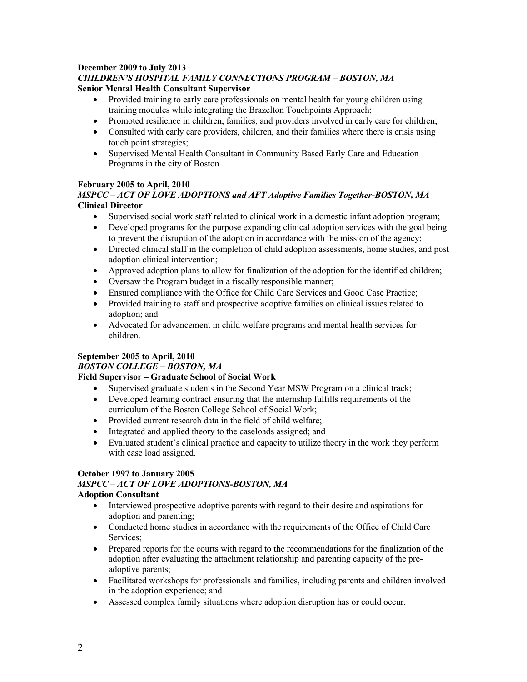# **December 2009 to July 2013** *CHILDREN'S HOSPITAL FAMILY CONNECTIONS PROGRAM – BOSTON, MA*

## **Senior Mental Health Consultant Supervisor**

- Provided training to early care professionals on mental health for young children using training modules while integrating the Brazelton Touchpoints Approach;
- Promoted resilience in children, families, and providers involved in early care for children;
- Consulted with early care providers, children, and their families where there is crisis using touch point strategies;
- Supervised Mental Health Consultant in Community Based Early Care and Education Programs in the city of Boston

## **February 2005 to April, 2010**

### *MSPCC – ACT OF LOVE ADOPTIONS and AFT Adoptive Families Together-BOSTON, MA* **Clinical Director**

- Supervised social work staff related to clinical work in a domestic infant adoption program;
- Developed programs for the purpose expanding clinical adoption services with the goal being to prevent the disruption of the adoption in accordance with the mission of the agency;
- Directed clinical staff in the completion of child adoption assessments, home studies, and post adoption clinical intervention;
- Approved adoption plans to allow for finalization of the adoption for the identified children;
- Oversaw the Program budget in a fiscally responsible manner;
- Ensured compliance with the Office for Child Care Services and Good Case Practice;
- Provided training to staff and prospective adoptive families on clinical issues related to adoption; and
- Advocated for advancement in child welfare programs and mental health services for children.

## **September 2005 to April, 2010**

### *BOSTON COLLEGE – BOSTON, MA*

## **Field Supervisor – Graduate School of Social Work**

- Supervised graduate students in the Second Year MSW Program on a clinical track;
- Developed learning contract ensuring that the internship fulfills requirements of the curriculum of the Boston College School of Social Work;
- Provided current research data in the field of child welfare;
- Integrated and applied theory to the caseloads assigned; and
- Evaluated student's clinical practice and capacity to utilize theory in the work they perform with case load assigned.

## **October 1997 to January 2005**

# *MSPCC – ACT OF LOVE ADOPTIONS-BOSTON, MA*

### **Adoption Consultant**

- Interviewed prospective adoptive parents with regard to their desire and aspirations for adoption and parenting;
- Conducted home studies in accordance with the requirements of the Office of Child Care Services;
- Prepared reports for the courts with regard to the recommendations for the finalization of the adoption after evaluating the attachment relationship and parenting capacity of the preadoptive parents;
- Facilitated workshops for professionals and families, including parents and children involved in the adoption experience; and
- Assessed complex family situations where adoption disruption has or could occur.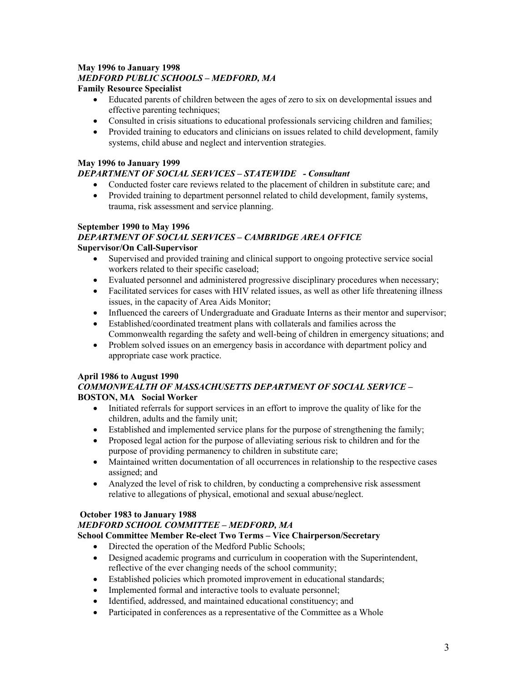# **May 1996 to January 1998** *MEDFORD PUBLIC SCHOOLS – MEDFORD, MA*

## **Family Resource Specialist**

- Educated parents of children between the ages of zero to six on developmental issues and effective parenting techniques;
- Consulted in crisis situations to educational professionals servicing children and families;
- Provided training to educators and clinicians on issues related to child development, family systems, child abuse and neglect and intervention strategies.

## **May 1996 to January 1999**

## *DEPARTMENT OF SOCIAL SERVICES – STATEWIDE - Consultant*

- Conducted foster care reviews related to the placement of children in substitute care; and
- Provided training to department personnel related to child development, family systems, trauma, risk assessment and service planning.

#### **September 1990 to May 1996** *DEPARTMENT OF SOCIAL SERVICES – CAMBRIDGE AREA OFFICE* **Supervisor/On Call-Supervisor**

- Supervised and provided training and clinical support to ongoing protective service social workers related to their specific caseload;
- Evaluated personnel and administered progressive disciplinary procedures when necessary;
- Facilitated services for cases with HIV related issues, as well as other life threatening illness issues, in the capacity of Area Aids Monitor;
- Influenced the careers of Undergraduate and Graduate Interns as their mentor and supervisor;
- Established/coordinated treatment plans with collaterals and families across the Commonwealth regarding the safety and well-being of children in emergency situations; and
- Problem solved issues on an emergency basis in accordance with department policy and appropriate case work practice.

### **April 1986 to August 1990**

### *COMMONWEALTH OF MASSACHUSETTS DEPARTMENT OF SOCIAL SERVICE –* **BOSTON, MA Social Worker**

- Initiated referrals for support services in an effort to improve the quality of like for the children, adults and the family unit;
- Established and implemented service plans for the purpose of strengthening the family;
- Proposed legal action for the purpose of alleviating serious risk to children and for the purpose of providing permanency to children in substitute care;
- Maintained written documentation of all occurrences in relationship to the respective cases assigned; and
- Analyzed the level of risk to children, by conducting a comprehensive risk assessment relative to allegations of physical, emotional and sexual abuse/neglect.

### **October 1983 to January 1988**

### *MEDFORD SCHOOL COMMITTEE – MEDFORD, MA*

### **School Committee Member Re-elect Two Terms – Vice Chairperson/Secretary**

- Directed the operation of the Medford Public Schools;
- Designed academic programs and curriculum in cooperation with the Superintendent, reflective of the ever changing needs of the school community;
- Established policies which promoted improvement in educational standards;
- Implemented formal and interactive tools to evaluate personnel;
- Identified, addressed, and maintained educational constituency; and
- Participated in conferences as a representative of the Committee as a Whole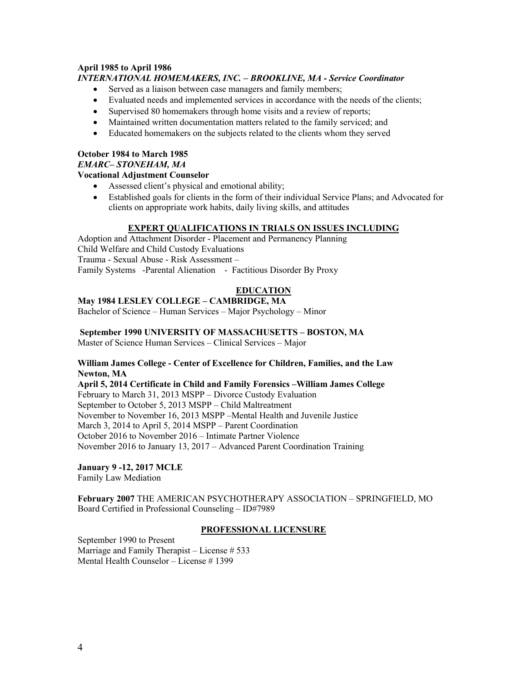#### **April 1985 to April 1986** *INTERNATIONAL HOMEMAKERS, INC. – BROOKLINE, MA - Service Coordinator*

- Served as a liaison between case managers and family members;
- Evaluated needs and implemented services in accordance with the needs of the clients;
- Supervised 80 homemakers through home visits and a review of reports;
- Maintained written documentation matters related to the family serviced; and
- Educated homemakers on the subjects related to the clients whom they served

## **October 1984 to March 1985** *EMARC– STONEHAM, MA*

#### **Vocational Adjustment Counselor**

- Assessed client's physical and emotional ability;
- Established goals for clients in the form of their individual Service Plans; and Advocated for clients on appropriate work habits, daily living skills, and attitudes

#### **EXPERT QUALIFICATIONS IN TRIALS ON ISSUES INCLUDING**

Adoption and Attachment Disorder - Placement and Permanency Planning Child Welfare and Child Custody Evaluations Trauma - Sexual Abuse - Risk Assessment – Family Systems -Parental Alienation - Factitious Disorder By Proxy

### **EDUCATION**

#### **May 1984 LESLEY COLLEGE – CAMBRIDGE, MA**

Bachelor of Science – Human Services – Major Psychology – Minor

**September 1990 UNIVERSITY OF MASSACHUSETTS – BOSTON, MA**

Master of Science Human Services – Clinical Services – Major

#### **William James College - Center of Excellence for Children, Families, and the Law Newton, MA**

**April 5, 2014 Certificate in Child and Family Forensics –William James College** February to March 31, 2013 MSPP – Divorce Custody Evaluation September to October 5, 2013 MSPP – Child Maltreatment November to November 16, 2013 MSPP –Mental Health and Juvenile Justice March 3, 2014 to April 5, 2014 MSPP – Parent Coordination October 2016 to November 2016 – Intimate Partner Violence November 2016 to January 13, 2017 – Advanced Parent Coordination Training

**January 9 -12, 2017 MCLE**

Family Law Mediation

**February 2007** THE AMERICAN PSYCHOTHERAPY ASSOCIATION – SPRINGFIELD, MO Board Certified in Professional Counseling – ID#7989

#### **PROFESSIONAL LICENSURE**

September 1990 to Present Marriage and Family Therapist – License # 533 Mental Health Counselor – License # 1399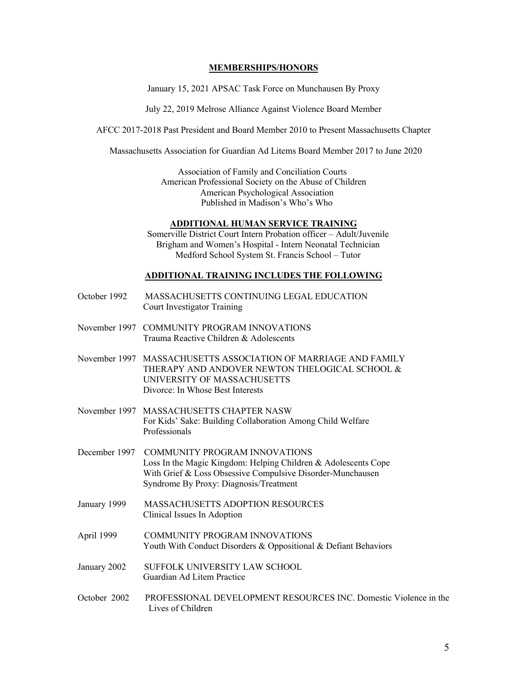#### **MEMBERSHIPS/HONORS**

January 15, 2021 APSAC Task Force on Munchausen By Proxy

July 22, 2019 Melrose Alliance Against Violence Board Member

AFCC 2017-2018 Past President and Board Member 2010 to Present Massachusetts Chapter

Massachusetts Association for Guardian Ad Litems Board Member 2017 to June 2020

Association of Family and Conciliation Courts American Professional Society on the Abuse of Children American Psychological Association Published in Madison's Who's Who

#### **ADDITIONAL HUMAN SERVICE TRAINING**

 Somerville District Court Intern Probation officer – Adult/Juvenile Brigham and Women's Hospital - Intern Neonatal Technician Medford School System St. Francis School – Tutor

#### **ADDITIONAL TRAINING INCLUDES THE FOLLOWING**

- October 1992 MASSACHUSETTS CONTINUING LEGAL EDUCATION Court Investigator Training
- November 1997 COMMUNITY PROGRAM INNOVATIONS Trauma Reactive Children & Adolescents
- November 1997 MASSACHUSETTS ASSOCIATION OF MARRIAGE AND FAMILY THERAPY AND ANDOVER NEWTON THELOGICAL SCHOOL & UNIVERSITY OF MASSACHUSETTS Divorce: In Whose Best Interests
- November 1997 MASSACHUSETTS CHAPTER NASW For Kids' Sake: Building Collaboration Among Child Welfare Professionals
- December 1997 COMMUNITY PROGRAM INNOVATIONS Loss In the Magic Kingdom: Helping Children & Adolescents Cope With Grief & Loss Obsessive Compulsive Disorder-Munchausen Syndrome By Proxy: Diagnosis/Treatment
- January 1999 MASSACHUSETTS ADOPTION RESOURCES Clinical Issues In Adoption
- April 1999 COMMUNITY PROGRAM INNOVATIONS Youth With Conduct Disorders & Oppositional & Defiant Behaviors
- January 2002 SUFFOLK UNIVERSITY LAW SCHOOL Guardian Ad Litem Practice
- October 2002 PROFESSIONAL DEVELOPMENT RESOURCES INC. Domestic Violence in the Lives of Children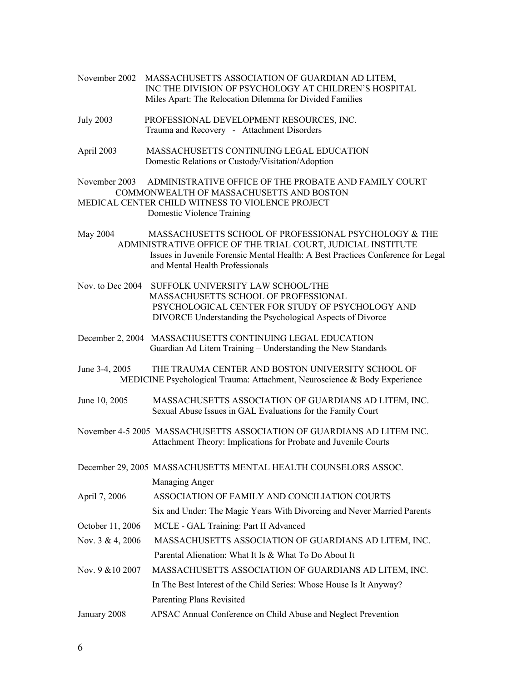- November 2002 MASSACHUSETTS ASSOCIATION OF GUARDIAN AD LITEM, INC THE DIVISION OF PSYCHOLOGY AT CHILDREN'S HOSPITAL Miles Apart: The Relocation Dilemma for Divided Families
- July 2003 PROFESSIONAL DEVELOPMENT RESOURCES, INC. Trauma and Recovery - Attachment Disorders
- April 2003 MASSACHUSETTS CONTINUING LEGAL EDUCATION Domestic Relations or Custody/Visitation/Adoption
- November 2003 ADMINISTRATIVE OFFICE OF THE PROBATE AND FAMILY COURT COMMONWEALTH OF MASSACHUSETTS AND BOSTON MEDICAL CENTER CHILD WITNESS TO VIOLENCE PROJECT Domestic Violence Training
- May 2004 MASSACHUSETTS SCHOOL OF PROFESSIONAL PSYCHOLOGY & THE ADMINISTRATIVE OFFICE OF THE TRIAL COURT, JUDICIAL INSTITUTE Issues in Juvenile Forensic Mental Health: A Best Practices Conference for Legal and Mental Health Professionals
- Nov. to Dec 2004 SUFFOLK UNIVERSITY LAW SCHOOL/THE MASSACHUSETTS SCHOOL OF PROFESSIONAL PSYCHOLOGICAL CENTER FOR STUDY OF PSYCHOLOGY AND DIVORCE Understanding the Psychological Aspects of Divorce
- December 2, 2004 MASSACHUSETTS CONTINUING LEGAL EDUCATION Guardian Ad Litem Training – Understanding the New Standards
- June 3-4, 2005 THE TRAUMA CENTER AND BOSTON UNIVERSITY SCHOOL OF MEDICINE Psychological Trauma: Attachment, Neuroscience & Body Experience
- June 10, 2005 MASSACHUSETTS ASSOCIATION OF GUARDIANS AD LITEM, INC. Sexual Abuse Issues in GAL Evaluations for the Family Court
- November 4-5 2005 MASSACHUSETTS ASSOCIATION OF GUARDIANS AD LITEM INC. Attachment Theory: Implications for Probate and Juvenile Courts
- December 29, 2005 MASSACHUSETTS MENTAL HEALTH COUNSELORS ASSOC.

Managing Anger

April 7, 2006 ASSOCIATION OF FAMILY AND CONCILIATION COURTS

Six and Under: The Magic Years With Divorcing and Never Married Parents

- October 11, 2006 MCLE GAL Training: Part II Advanced
- Nov. 3 & 4, 2006 MASSACHUSETTS ASSOCIATION OF GUARDIANS AD LITEM, INC. Parental Alienation: What It Is & What To Do About It
- Nov. 9 &10 2007 MASSACHUSETTS ASSOCIATION OF GUARDIANS AD LITEM, INC. In The Best Interest of the Child Series: Whose House Is It Anyway? Parenting Plans Revisited
- January 2008 APSAC Annual Conference on Child Abuse and Neglect Prevention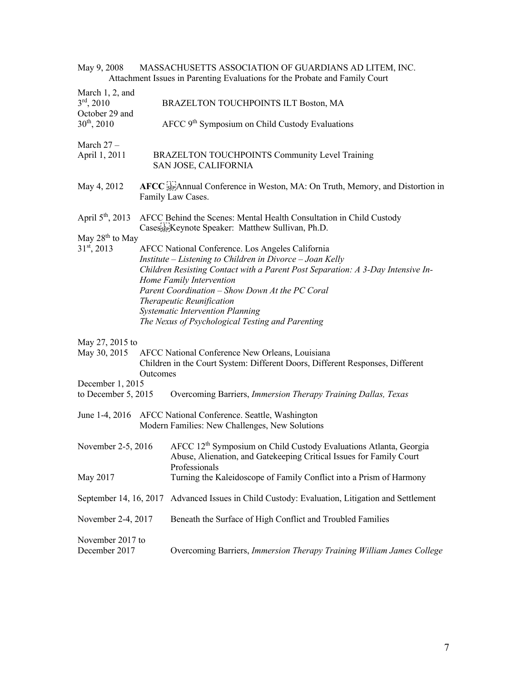| May 9, 2008                                                 |          | MASSACHUSETTS ASSOCIATION OF GUARDIANS AD LITEM, INC.<br>Attachment Issues in Parenting Evaluations for the Probate and Family Court                                                                                                                                                                                                                                                                        |
|-------------------------------------------------------------|----------|-------------------------------------------------------------------------------------------------------------------------------------------------------------------------------------------------------------------------------------------------------------------------------------------------------------------------------------------------------------------------------------------------------------|
| March 1, 2, and<br>$3^{\text{rd}}, 2010$<br>October 29 and  |          | BRAZELTON TOUCHPOINTS ILT Boston, MA                                                                                                                                                                                                                                                                                                                                                                        |
| $30^{th}$ , 2010                                            |          | AFCC 9 <sup>th</sup> Symposium on Child Custody Evaluations                                                                                                                                                                                                                                                                                                                                                 |
| March $27-$<br>April 1, 2011                                |          | BRAZELTON TOUCHPOINTS Community Level Training<br>SAN JOSE, CALIFORNIA                                                                                                                                                                                                                                                                                                                                      |
| May 4, 2012                                                 |          | AFCC SEP Annual Conference in Weston, MA: On Truth, Memory, and Distortion in<br>Family Law Cases.                                                                                                                                                                                                                                                                                                          |
| April $5^{\text{th}}$ , 2013<br>May 28 <sup>th</sup> to May |          | AFCC Behind the Scenes: Mental Health Consultation in Child Custody<br>Casesser Keynote Speaker: Matthew Sullivan, Ph.D.                                                                                                                                                                                                                                                                                    |
| $31st$ , 2013                                               |          | AFCC National Conference. Los Angeles California<br>Institute – Listening to Children in Divorce – Joan Kelly<br>Children Resisting Contact with a Parent Post Separation: A 3-Day Intensive In-<br>Home Family Intervention<br>Parent Coordination - Show Down At the PC Coral<br>Therapeutic Reunification<br><b>Systematic Intervention Planning</b><br>The Nexus of Psychological Testing and Parenting |
| May 27, 2015 to<br>May 30, 2015                             | Outcomes | AFCC National Conference New Orleans, Louisiana<br>Children in the Court System: Different Doors, Different Responses, Different                                                                                                                                                                                                                                                                            |
| December 1, 2015<br>to December 5, 2015                     |          | Overcoming Barriers, Immersion Therapy Training Dallas, Texas                                                                                                                                                                                                                                                                                                                                               |
|                                                             |          | June 1-4, 2016 AFCC National Conference. Seattle, Washington<br>Modern Families: New Challenges, New Solutions                                                                                                                                                                                                                                                                                              |
| November 2-5, 2016<br>May 2017                              |          | AFCC 12 <sup>th</sup> Symposium on Child Custody Evaluations Atlanta, Georgia<br>Abuse, Alienation, and Gatekeeping Critical Issues for Family Court<br>Professionals                                                                                                                                                                                                                                       |
|                                                             |          | Turning the Kaleidoscope of Family Conflict into a Prism of Harmony                                                                                                                                                                                                                                                                                                                                         |
| September 14, 16, 2017                                      |          | Advanced Issues in Child Custody: Evaluation, Litigation and Settlement                                                                                                                                                                                                                                                                                                                                     |
| November 2-4, 2017                                          |          | Beneath the Surface of High Conflict and Troubled Families                                                                                                                                                                                                                                                                                                                                                  |
| November 2017 to<br>December 2017                           |          | Overcoming Barriers, Immersion Therapy Training William James College                                                                                                                                                                                                                                                                                                                                       |

7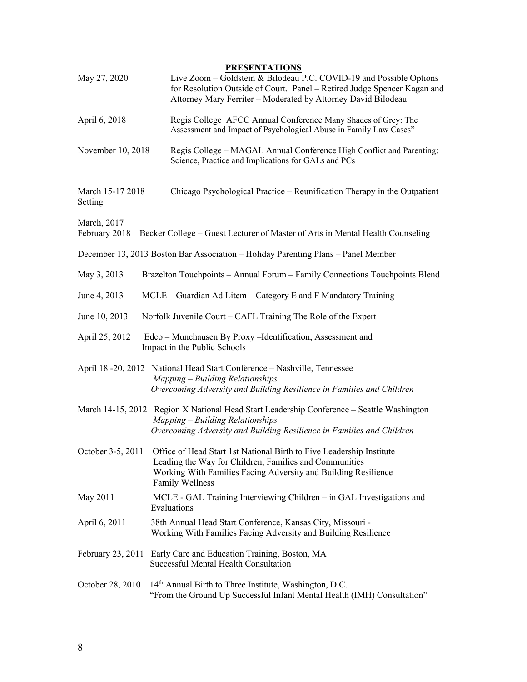### **PRESENTATIONS**

| May 27, 2020                 | Live Zoom - Goldstein & Bilodeau P.C. COVID-19 and Possible Options<br>for Resolution Outside of Court. Panel - Retired Judge Spencer Kagan and<br>Attorney Mary Ferriter - Moderated by Attorney David Bilodeau           |
|------------------------------|----------------------------------------------------------------------------------------------------------------------------------------------------------------------------------------------------------------------------|
| April 6, 2018                | Regis College AFCC Annual Conference Many Shades of Grey: The<br>Assessment and Impact of Psychological Abuse in Family Law Cases"                                                                                         |
| November 10, 2018            | Regis College - MAGAL Annual Conference High Conflict and Parenting:<br>Science, Practice and Implications for GALs and PCs                                                                                                |
| March 15-17 2018<br>Setting  | Chicago Psychological Practice – Reunification Therapy in the Outpatient                                                                                                                                                   |
| March, 2017<br>February 2018 | Becker College – Guest Lecturer of Master of Arts in Mental Health Counseling                                                                                                                                              |
|                              | December 13, 2013 Boston Bar Association - Holiday Parenting Plans - Panel Member                                                                                                                                          |
| May 3, 2013                  | Brazelton Touchpoints - Annual Forum - Family Connections Touchpoints Blend                                                                                                                                                |
| June 4, 2013                 | MCLE – Guardian Ad Litem – Category E and F Mandatory Training                                                                                                                                                             |
| June 10, 2013                | Norfolk Juvenile Court – CAFL Training The Role of the Expert                                                                                                                                                              |
| April 25, 2012               | Edco - Munchausen By Proxy - Identification, Assessment and<br>Impact in the Public Schools                                                                                                                                |
|                              | April 18 -20, 2012 National Head Start Conference - Nashville, Tennessee<br>Mapping - Building Relationships<br>Overcoming Adversity and Building Resilience in Families and Children                                      |
|                              | March 14-15, 2012 Region X National Head Start Leadership Conference – Seattle Washington<br>Mapping – Building Relationships<br>Overcoming Adversity and Building Resilience in Families and Children                     |
| October 3-5, 2011            | Office of Head Start 1st National Birth to Five Leadership Institute<br>Leading the Way for Children, Families and Communities<br>Working With Families Facing Adversity and Building Resilience<br><b>Family Wellness</b> |
| May 2011                     | MCLE - GAL Training Interviewing Children – in GAL Investigations and<br>Evaluations                                                                                                                                       |
| April 6, 2011                | 38th Annual Head Start Conference, Kansas City, Missouri -<br>Working With Families Facing Adversity and Building Resilience                                                                                               |
|                              | February 23, 2011 Early Care and Education Training, Boston, MA<br>Successful Mental Health Consultation                                                                                                                   |
| October 28, 2010             | 14 <sup>th</sup> Annual Birth to Three Institute, Washington, D.C.<br>"From the Ground Up Successful Infant Mental Health (IMH) Consultation"                                                                              |